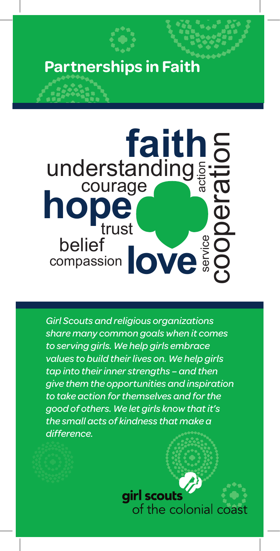## **Partnerships in Faith**



*Girl Scouts and religious organizations share many common goals when it comes to serving girls. We help girls embrace values to build their lives on. We help girls tap into their inner strengths – and then give them the opportunities and inspiration to take action for themselves and for the good of others. We let girls know that it's the small acts of kindness that make a difference.*